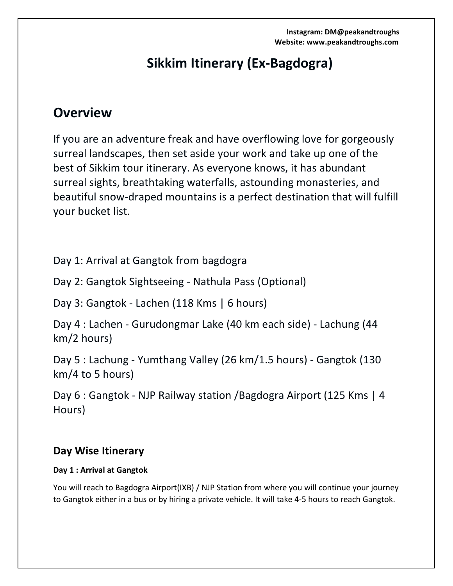**Instagram: DM@peakandtroughs** Website: www.peakandtroughs.com

# **Sikkim Itinerary (Ex-Bagdogra)**

## **Overview**

If you are an adventure freak and have overflowing love for gorgeously surreal landscapes, then set aside your work and take up one of the best of Sikkim tour itinerary. As everyone knows, it has abundant surreal sights, breathtaking waterfalls, astounding monasteries, and beautiful snow-draped mountains is a perfect destination that will fulfill your bucket list.

Day 1: Arrival at Gangtok from bagdogra

Day 2: Gangtok Sightseeing - Nathula Pass (Optional)

Day 3: Gangtok - Lachen (118 Kms | 6 hours)

Day 4 : Lachen - Gurudongmar Lake (40 km each side) - Lachung (44  $km/2$  hours)

Day 5 : Lachung - Yumthang Valley (26 km/1.5 hours) - Gangtok (130  $km/4$  to 5 hours)

Day 6 : Gangtok - NJP Railway station /Bagdogra Airport (125 Kms | 4 Hours)

### **Day Wise Itinerary**

#### **Day 1 : Arrival at Gangtok**

You will reach to Bagdogra Airport(IXB) / NJP Station from where you will continue your journey to Gangtok either in a bus or by hiring a private vehicle. It will take 4-5 hours to reach Gangtok.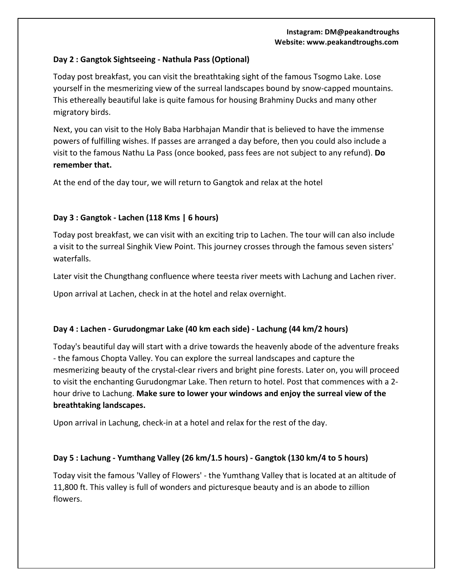#### **Instagram: DM@peakandtroughs** Website: www.peakandtroughs.com

#### **Day 2 : Gangtok Sightseeing - Nathula Pass (Optional)**

Today post breakfast, you can visit the breathtaking sight of the famous Tsogmo Lake. Lose yourself in the mesmerizing view of the surreal landscapes bound by snow-capped mountains. This ethereally beautiful lake is quite famous for housing Brahminy Ducks and many other migratory birds.

Next, you can visit to the Holy Baba Harbhajan Mandir that is believed to have the immense powers of fulfilling wishes. If passes are arranged a day before, then you could also include a visit to the famous Nathu La Pass (once booked, pass fees are not subject to any refund). **Do** remember that.

At the end of the day tour, we will return to Gangtok and relax at the hotel

#### **Day 3 : Gangtok - Lachen (118 Kms | 6 hours)**

Today post breakfast, we can visit with an exciting trip to Lachen. The tour will can also include a visit to the surreal Singhik View Point. This journey crosses through the famous seven sisters' waterfalls.

Later visit the Chungthang confluence where teesta river meets with Lachung and Lachen river.

Upon arrival at Lachen, check in at the hotel and relax overnight.

#### Day 4 : Lachen - Gurudongmar Lake (40 km each side) - Lachung (44 km/2 hours)

Today's beautiful day will start with a drive towards the heavenly abode of the adventure freaks - the famous Chopta Valley. You can explore the surreal landscapes and capture the mesmerizing beauty of the crystal-clear rivers and bright pine forests. Later on, you will proceed to visit the enchanting Gurudongmar Lake. Then return to hotel. Post that commences with a 2hour drive to Lachung. Make sure to lower your windows and enjoy the surreal view of the **breathtaking landscapes.**

Upon arrival in Lachung, check-in at a hotel and relax for the rest of the day.

#### Day 5 : Lachung - Yumthang Valley (26 km/1.5 hours) - Gangtok (130 km/4 to 5 hours)

Today visit the famous 'Valley of Flowers' - the Yumthang Valley that is located at an altitude of 11,800 ft. This valley is full of wonders and picturesque beauty and is an abode to zillion flowers.